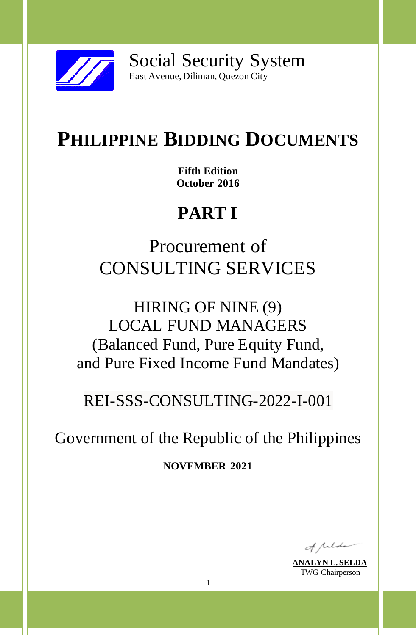

Social Security System East Avenue, Diliman, Quezon City

# **PHILIPPINE BIDDING DOCUMENTS**

**Fifth Edition October 2016**

# **PART I**

Procurement of CONSULTING SERVICES

HIRING OF NINE (9) LOCAL FUND MANAGERS (Balanced Fund, Pure Equity Fund, and Pure Fixed Income Fund Mandates)

REI-SSS-CONSULTING-2022-I-001

Government of the Republic of the Philippines

**NOVEMBER 2021**

of pilote

**ANALYN L. SELDA** TWG Chairperson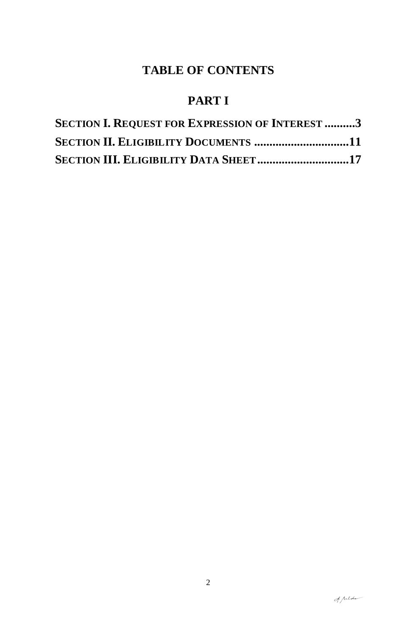# **TABLE OF CONTENTS**

# **PART I**

| <b>SECTION I. REQUEST FOR EXPRESSION OF INTEREST 3</b> |  |
|--------------------------------------------------------|--|
| <b>SECTION II. ELIGIBILITY DOCUMENTS 11</b>            |  |
| <b>SECTION III. ELIGIBILITY DATA SHEET17</b>           |  |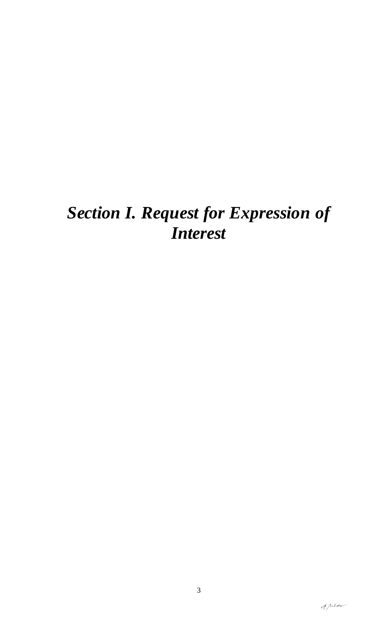# *Section I. Request for Expression of Interest*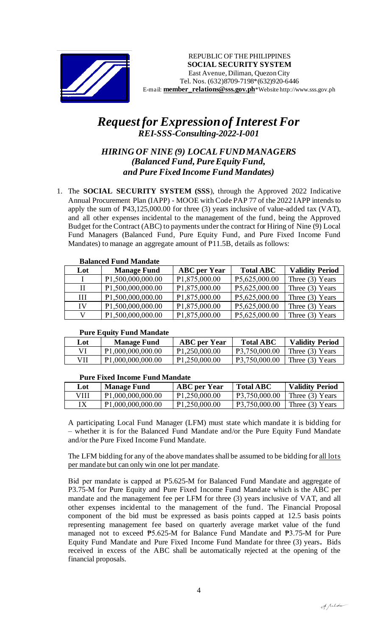

# *Request for Expression of Interest For REI-SSS-Consulting-2022-I-001*

## *HIRING OF NINE (9) LOCAL FUND MANAGERS (Balanced Fund, Pure EquityFund, and Pure Fixed Income Fund Mandates)*

1. The **SOCIAL SECURITY SYSTEM (SSS**), through the Approved 2022 Indicative Annual Procurement Plan (IAPP) - MOOE with Code PAP 77 of the 2022 IAPP intends to apply the sum of  $P43,125,000.00$  for three (3) years inclusive of value-added tax (VAT), and all other expenses incidental to the management of the fund, being the Approved Budget for the Contract (ABC) to payments under the contract for Hiring of Nine (9) Local Fund Managers (Balanced Fund, Pure Equity Fund, and Pure Fixed Income Fund Mandates) to manage an aggregate amount of P11.5B, details as follows:

|          | Balanced Fund Mandate |                     |                  |                        |  |
|----------|-----------------------|---------------------|------------------|------------------------|--|
| Lot      | <b>Manage Fund</b>    | <b>ABC</b> per Year | <b>Total ABC</b> | <b>Validity Period</b> |  |
| $\bf{I}$ | P1,500,000,000.00     | P1,875,000.00       | P5,625,000.00    | Three $(3)$ Years      |  |
| $\rm II$ | P1,500,000,000.00     | P1,875,000.00       | P5,625,000.00    | Three $(3)$ Years      |  |
| Ш        | P1,500,000,000.00     | P1,875,000.00       | P5,625,000.00    | Three $(3)$ Years      |  |
| IV       | P1,500,000,000.00     | P1,875,000.00       | P5,625,000.00    | Three $(3)$ Years      |  |
| V        | P1,500,000,000.00     | P1,875,000.00       | P5,625,000.00    | Three $(3)$ Years      |  |

## **Balanced Fund Mandate**

#### **Pure Equity Fund Mandate**

| Lot | <b>Manage Fund</b>             | <b>ABC</b> per Year | <b>Total ABC</b> | <b>Validity Period</b> |
|-----|--------------------------------|---------------------|------------------|------------------------|
| VI  | P <sub>1</sub> ,000,000,000.00 | P1,250,000.00       | P3,750,000.00    | Three $(3)$ Years      |
| VH  | P <sub>1</sub> ,000,000,000.00 | P1,250,000.00       | P3,750,000.00    | Three $(3)$ Years      |

#### **Pure Fixed Income Fund Mandate**

| Lot  | <b>Manage Fund</b>             | <b>ABC</b> per Year | <b>Total ABC</b> | <b>Validity Period</b> |
|------|--------------------------------|---------------------|------------------|------------------------|
| VIII | P <sub>1</sub> ,000,000,000.00 | P1,250,000.00       | P3,750,000.00    | Three (3) Years        |
|      | P <sub>1</sub> ,000,000,000.00 | P1,250,000.00       | P3,750,000.00    | Three $(3)$ Years      |

A participating Local Fund Manager (LFM) must state which mandate it is bidding for – whether it is for the Balanced Fund Mandate and/or the Pure Equity Fund Mandate and/or the Pure Fixed Income Fund Mandate.

The LFM bidding for any of the above mandates shall be assumed to be bidding for all lots per mandate but can only win one lot per mandate.

Bid per mandate is capped at P5.625-M for Balanced Fund Mandate and aggregate of P3.75-M for Pure Equity and Pure Fixed Income Fund Mandate which is the ABC per mandate and the management fee per LFM for three (3) years inclusive of VAT, and all other expenses incidental to the management of the fund. The Financial Proposal component of the bid must be expressed as basis points capped at 12.5 basis points representing management fee based on quarterly average market value of the fund managed not to exceed ₱5.625-M for Balance Fund Mandate and ₱3.75-M for Pure Equity Fund Mandate and Pure Fixed Income Fund Mandate for three (3) years**.** Bids received in excess of the ABC shall be automatically rejected at the opening of the financial proposals.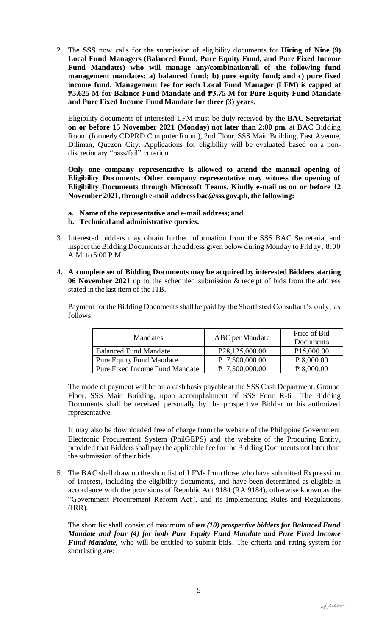2. The **SSS** now calls for the submission of eligibility documents for **Hiring of Nine (9) Local Fund Managers (Balanced Fund, Pure Equity Fund, and Pure Fixed Income Fund Mandates) who will manage any/combination/all of the following fund management mandates: a) balanced fund; b) pure equity fund; and c) pure fixed income fund. Management fee for each Local Fund Manager (LFM) is capped at** ₱**5.625-M for Balance Fund Mandate and ₱3.75-M for Pure Equity Fund Mandate and Pure Fixed Income Fund Mandate for three (3) years.** 

Eligibility documents of interested LFM must be duly received by the **BAC Secretariat on or before 15 November 2021 (Monday) not later than 2:00 pm.** at BAC Bidding Room (formerly CDPRD Computer Room), 2nd Floor, SSS Main Building, East Avenue, Diliman, Quezon City. Applications for eligibility will be evaluated based on a nondiscretionary "pass/fail" criterion.

**Only one company representative is allowed to attend the manual opening of Eligibility Documents. Other company representative may witness the opening of Eligibility Documents through Microsoft Teams. Kindly e-mail us on or before 12 November 2021, through e-mail address bac@sss.gov.ph, the following:**

- **a. Name of the representative and e-mail address; and**
- **b. Technical and administrative queries.**
- 3. Interested bidders may obtain further information from the SSS BAC Secretariat and inspect the Bidding Documents at the address given below during Monday to Friday, 8:00 A.M. to 5:00 P.M.
- 4. **A complete set of Bidding Documents may be acquired by interested Bidders starting 06 November 2021** up to the scheduled submission & receipt of bids from the address stated in the last item of the ITB.

Payment for the Bidding Documents shall be paid by the Shortlisted Consultant's only, as follows:

| Mandates                        | ABC per Mandate             | Price of Bid<br>Documents |
|---------------------------------|-----------------------------|---------------------------|
| <b>Balanced Fund Mandate</b>    | P <sub>28</sub> ,125,000.00 | P <sub>15</sub> ,000.00   |
| <b>Pure Equity Fund Mandate</b> | P 7,500,000.00              | P 8,000.00                |
| Pure Fixed Income Fund Mandate  | P 7,500,000.00              | P 8.000.00                |

The mode of payment will be on a cash basis payable at the SSS Cash Department, Ground Floor, SSS Main Building, upon accomplishment of SSS Form R-6. The Bidding Documents shall be received personally by the prospective Bidder or his authorized representative.

It may also be downloaded free of charge from the website of the Philippine Government Electronic Procurement System (PhilGEPS) and the website of the Procuring Entity*,*  provided that Bidders shall pay the applicable fee for the Bidding Documents not later than the submission of their bids.

5. The BAC shall draw up the short list of LFMs from those who have submitted Expression of Interest, including the eligibility documents, and have been determined as eligible in accordance with the provisions of Republic Act 9184 (RA 9184), otherwise known as the "Government Procurement Reform Act", and its Implementing Rules and Regulations (IRR).

The short list shall consist of maximum of *ten (10) prospective bidders for Balanced Fund Mandate and four (4) for both Pure Equity Fund Mandate and Pure Fixed Income Fund Mandate,* who will be entitled to submit bids. The criteria and rating system for shortlisting are: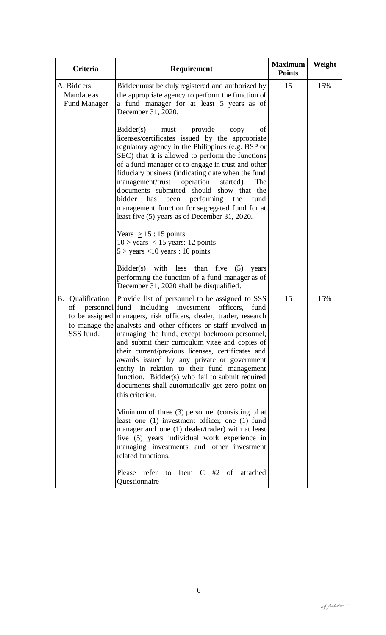| Criteria                                              | Requirement                                                                                                                                                                                                                                                                                                                                                                                                                                                                                                                                                                                                                                                           | <b>Maximum</b><br><b>Points</b> | Weight |
|-------------------------------------------------------|-----------------------------------------------------------------------------------------------------------------------------------------------------------------------------------------------------------------------------------------------------------------------------------------------------------------------------------------------------------------------------------------------------------------------------------------------------------------------------------------------------------------------------------------------------------------------------------------------------------------------------------------------------------------------|---------------------------------|--------|
| A. Bidders<br>Mandate as<br><b>Fund Manager</b>       | Bidder must be duly registered and authorized by<br>the appropriate agency to perform the function of<br>a fund manager for at least 5 years as of<br>December 31, 2020.                                                                                                                                                                                                                                                                                                                                                                                                                                                                                              | 15                              | 15%    |
|                                                       | Bidder(s)<br>provide<br>must<br>copy<br>οf<br>licenses/certificates issued by the appropriate<br>regulatory agency in the Philippines (e.g. BSP or<br>SEC) that it is allowed to perform the functions<br>of a fund manager or to engage in trust and other<br>fiduciary business (indicating date when the fund<br>management/trust<br>operation<br>started).<br>The<br>documents submitted should show that the<br>performing the<br>bidder<br>been<br>has<br>fund<br>management function for segregated fund for at<br>least five (5) years as of December 31, 2020.                                                                                               |                                 |        |
|                                                       | Years $\geq 15:15$ points<br>$10 \ge \text{years} < 15 \text{ years}$ : 12 points<br>$5 > \text{years} < 10 \text{ years} : 10 \text{ points}$                                                                                                                                                                                                                                                                                                                                                                                                                                                                                                                        |                                 |        |
|                                                       | $Bidder(s)$ with less than five $(5)$<br>years<br>performing the function of a fund manager as of<br>December 31, 2020 shall be disqualified.                                                                                                                                                                                                                                                                                                                                                                                                                                                                                                                         |                                 |        |
| B. Qualification<br>personnel fund<br>of<br>SSS fund. | Provide list of personnel to be assigned to SSS<br>including investment<br>officers,<br>fund<br>to be assigned managers, risk officers, dealer, trader, research<br>to manage the analysts and other officers or staff involved in<br>managing the fund, except backroom personnel,<br>and submit their curriculum vitae and copies of<br>their current/previous licenses, certificates and<br>awards issued by any private or government<br>entity in relation to their fund management<br>function. Bidder(s) who fail to submit required<br>documents shall automatically get zero point on<br>this criterion.<br>Minimum of three (3) personnel (consisting of at | 15                              | 15%    |
|                                                       | least one (1) investment officer, one (1) fund<br>manager and one (1) dealer/trader) with at least<br>five (5) years individual work experience in<br>managing investments and other investment<br>related functions.                                                                                                                                                                                                                                                                                                                                                                                                                                                 |                                 |        |
|                                                       | Please refer to Item C #2 of attached<br>Questionnaire                                                                                                                                                                                                                                                                                                                                                                                                                                                                                                                                                                                                                |                                 |        |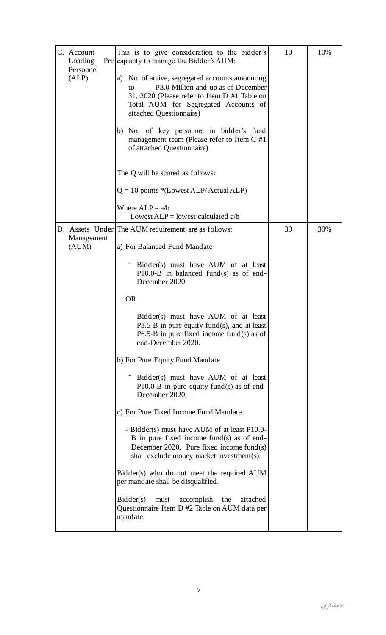| C. Account<br>Loading<br>Personnel | This is to give consideration to the bidder's<br>Per capacity to manage the Bidder's AUM:                                                                                                                      | 10 | 10% |
|------------------------------------|----------------------------------------------------------------------------------------------------------------------------------------------------------------------------------------------------------------|----|-----|
| (ALP)                              | a) No. of active, segregated accounts amounting<br>P3.0 Million and up as of December<br>to<br>31, 2020 (Please refer to Item D #1 Table on<br>Total AUM for Segregated Accounts of<br>attached Questionnaire) |    |     |
|                                    | b) No. of key personnel in bidder's fund<br>management team (Please refer to Item $C \#1$<br>of attached Questionnaire)                                                                                        |    |     |
|                                    | The Q will be scored as follows:                                                                                                                                                                               |    |     |
|                                    | $Q = 10$ points *(Lowest ALP/Actual ALP)                                                                                                                                                                       |    |     |
|                                    | Where $ALP = a/b$<br>Lowest $ALP =$ lowest calculated a/b                                                                                                                                                      |    |     |
|                                    | D. Assets Under The AUM requirement are as follows:                                                                                                                                                            | 30 | 30% |
| Management<br>(AUM)                | a) For Balanced Fund Mandate                                                                                                                                                                                   |    |     |
|                                    | Bidder(s) must have AUM of at least<br>$P10.0-B$ in balanced fund(s) as of end-<br>December 2020.                                                                                                              |    |     |
|                                    | <b>OR</b>                                                                                                                                                                                                      |    |     |
|                                    | Bidder(s) must have AUM of at least<br>P3.5-B in pure equity fund(s), and at least<br>$P6.5-B$ in pure fixed income fund(s) as of<br>end-December 2020.                                                        |    |     |
|                                    | b) For Pure Equity Fund Mandate                                                                                                                                                                                |    |     |
|                                    | Bidder(s) must have AUM of at least<br>P10.0-B in pure equity fund(s) as of end-<br>December 2020;                                                                                                             |    |     |
|                                    | c) For Pure Fixed Income Fund Mandate                                                                                                                                                                          |    |     |
|                                    | - Bidder(s) must have AUM of at least P10.0-<br>B in pure fixed income fund(s) as of end-<br>December 2020. Pure fixed income fund(s)<br>shall exclude money market investment(s).                             |    |     |
|                                    | Bidder(s) who do not meet the required AUM<br>per mandate shall be disqualified.                                                                                                                               |    |     |
|                                    | Bidder(s)<br>accomplish<br>the<br>attached<br>must<br>Questionnaire Item D #2 Table on AUM data per<br>mandate.                                                                                                |    |     |
|                                    |                                                                                                                                                                                                                |    |     |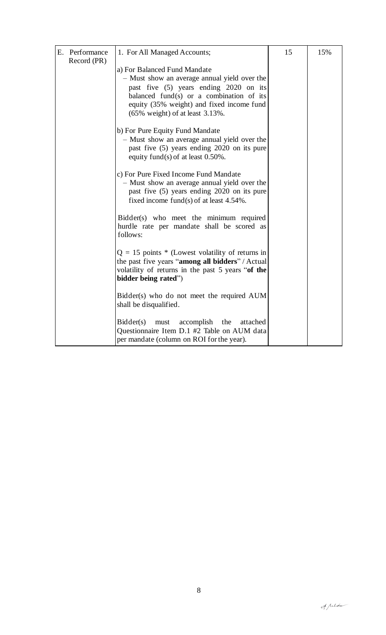| E. Performance<br>Record (PR) | 1. For All Managed Accounts;                                                                                                                                                                                                                          | 15 | 15% |
|-------------------------------|-------------------------------------------------------------------------------------------------------------------------------------------------------------------------------------------------------------------------------------------------------|----|-----|
|                               | a) For Balanced Fund Mandate<br>- Must show an average annual yield over the<br>past five (5) years ending 2020 on its<br>balanced fund(s) or a combination of its<br>equity (35% weight) and fixed income fund<br>$(65\%$ weight) of at least 3.13%. |    |     |
|                               | b) For Pure Equity Fund Mandate<br>- Must show an average annual yield over the<br>past five (5) years ending 2020 on its pure<br>equity fund(s) of at least $0.50\%$ .                                                                               |    |     |
|                               | c) For Pure Fixed Income Fund Mandate<br>- Must show an average annual yield over the<br>past five (5) years ending 2020 on its pure<br>fixed income fund(s) of at least $4.54\%$ .                                                                   |    |     |
|                               | Bidder(s) who meet the minimum required<br>hurdle rate per mandate shall be scored as<br>follows:                                                                                                                                                     |    |     |
|                               | $Q = 15$ points * (Lowest volatility of returns in<br>the past five years "among all bidders" / Actual<br>volatility of returns in the past 5 years "of the<br>bidder being rated")                                                                   |    |     |
|                               | Bidder(s) who do not meet the required AUM<br>shall be disqualified.                                                                                                                                                                                  |    |     |
|                               | Bidder(s)<br>accomplish<br>must<br>the<br>attached<br>Questionnaire Item D.1 #2 Table on AUM data<br>per mandate (column on ROI for the year).                                                                                                        |    |     |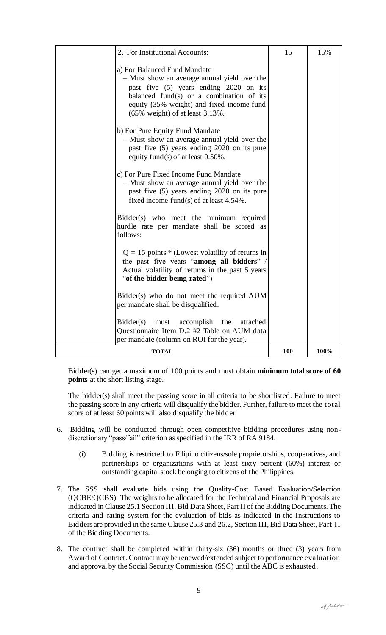| 2. For Institutional Accounts:                                                                                                                                                                                                                        | 15  | 15%  |
|-------------------------------------------------------------------------------------------------------------------------------------------------------------------------------------------------------------------------------------------------------|-----|------|
| a) For Balanced Fund Mandate<br>- Must show an average annual yield over the<br>past five (5) years ending 2020 on its<br>balanced fund(s) or a combination of its<br>equity (35% weight) and fixed income fund<br>$(65\%$ weight) of at least 3.13%. |     |      |
| b) For Pure Equity Fund Mandate<br>- Must show an average annual yield over the<br>past five (5) years ending 2020 on its pure<br>equity fund(s) of at least $0.50\%$ .                                                                               |     |      |
| c) For Pure Fixed Income Fund Mandate<br>- Must show an average annual yield over the<br>past five (5) years ending 2020 on its pure<br>fixed income fund(s) of at least $4.54\%$ .                                                                   |     |      |
| Bidder(s) who meet the minimum required<br>hurdle rate per mandate shall be scored as<br>follows:                                                                                                                                                     |     |      |
| $Q = 15$ points * (Lowest volatility of returns in<br>the past five years "among all bidders" /<br>Actual volatility of returns in the past 5 years<br>"of the bidder being rated")                                                                   |     |      |
| Bidder(s) who do not meet the required AUM<br>per mandate shall be disqualified.                                                                                                                                                                      |     |      |
| Bidder(s)<br>accomplish<br>the<br>attached<br>must<br>Questionnaire Item D.2 #2 Table on AUM data<br>per mandate (column on ROI for the year).                                                                                                        |     |      |
| <b>TOTAL</b>                                                                                                                                                                                                                                          | 100 | 100% |

Bidder(s) can get a maximum of 100 points and must obtain **minimum total score of 60 points** at the short listing stage.

The bidder(s) shall meet the passing score in all criteria to be shortlisted. Failure to meet the passing score in any criteria will disqualify the bidder. Further, failure to meet the total score of at least 60 points will also disqualify the bidder.

- 6. Bidding will be conducted through open competitive bidding procedures using nondiscretionary "pass/fail" criterion as specified in the IRR of RA 9184.
	- (i) Bidding is restricted to Filipino citizens/sole proprietorships, cooperatives, and partnerships or organizations with at least sixty percent (60%) interest or outstanding capital stock belonging to citizens of the Philippines.
- 7. The SSS shall evaluate bids using the Quality-Cost Based Evaluation/Selection (QCBE/QCBS). The weights to be allocated for the Technical and Financial Proposals are indicated in Clause 25.1 Section III, Bid Data Sheet, Part II of the Bidding Documents. The criteria and rating system for the evaluation of bids as indicated in the Instructions to Bidders are provided in the same Clause 25.3 and 26.2, Section III, Bid Data Sheet, Part II of the Bidding Documents.
- 8. The contract shall be completed within thirty-six (36) months or three (3) years from Award of Contract. Contract may be renewed/extended subject to performance evaluation and approval by the Social Security Commission (SSC) until the ABC is exhausted.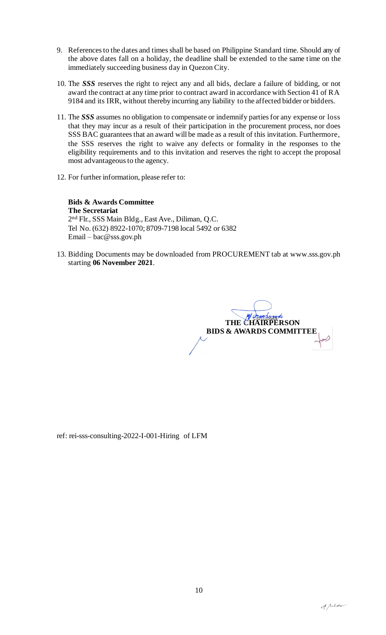- 9. References to the dates and times shall be based on Philippine Standard time. Should any of the above dates fall on a holiday, the deadline shall be extended to the same time on the immediately succeeding business day in Quezon City.
- 10. The *SSS* reserves the right to reject any and all bids, declare a failure of bidding, or not award the contract at any time prior to contract award in accordance with Section 41 of RA 9184 and its IRR, without thereby incurring any liability to the affected bidder or bidders.
- 11. The *SSS* assumes no obligation to compensate or indemnify parties for any expense or loss that they may incur as a result of their participation in the procurement process, nor does SSS BAC guarantees that an award will be made as a result of this invitation. Furthermore, the SSS reserves the right to waive any defects or formality in the responses to the eligibility requirements and to this invitation and reserves the right to accept the proposal most advantageous to the agency.
- 12. For further information, please refer to:

**Bids & Awards Committee The Secretariat** 2 nd Flr., SSS Main Bldg., East Ave., Diliman, Q.C. Tel No. (632) 8922-1070; 8709-7198 local 5492 or 6382 Email – bac@sss.gov.ph

13. Bidding Documents may be downloaded from PROCUREMENT tab at www.sss.gov.ph starting **06 November 2021**.

THE CHAIRPERSON  **BIDS & AWARDS COMMITTEE**

ref: rei-sss-consulting-2022-I-001-Hiring of LFM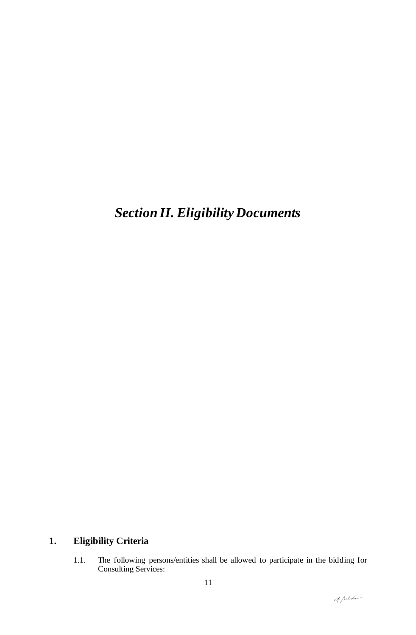# *Section II. Eligibility Documents*

## **1. Eligibility Criteria**

1.1. The following persons/entities shall be allowed to participate in the bidding for Consulting Services: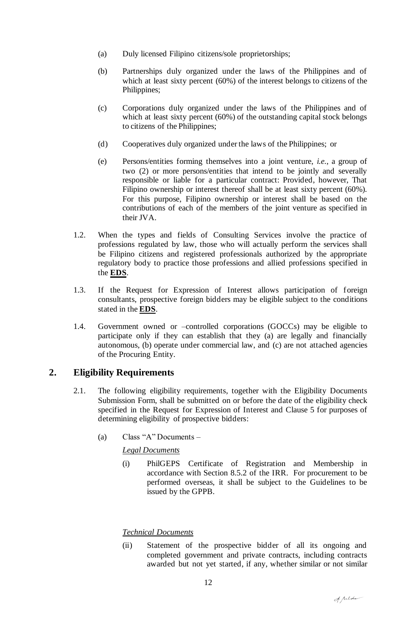- (a) Duly licensed Filipino citizens/sole proprietorships;
- (b) Partnerships duly organized under the laws of the Philippines and of which at least sixty percent (60%) of the interest belongs to citizens of the Philippines;
- (c) Corporations duly organized under the laws of the Philippines and of which at least sixty percent (60%) of the outstanding capital stock belongs to citizens of the Philippines;
- (d) Cooperatives duly organized under the laws of the Philippines; or
- (e) Persons/entities forming themselves into a joint venture, *i.e.*, a group of two (2) or more persons/entities that intend to be jointly and severally responsible or liable for a particular contract: Provided, however, That Filipino ownership or interest thereof shall be at least sixty percent (60%). For this purpose, Filipino ownership or interest shall be based on the contributions of each of the members of the joint venture as specified in their JVA.
- 1.2. When the types and fields of Consulting Services involve the practice of professions regulated by law, those who will actually perform the services shall be Filipino citizens and registered professionals authorized by the appropriate regulatory body to practice those professions and allied professions specified in the **EDS**.
- 1.3. If the Request for Expression of Interest allows participation of foreign consultants, prospective foreign bidders may be eligible subject to the conditions stated in the **EDS**.
- 1.4. Government owned or –controlled corporations (GOCCs) may be eligible to participate only if they can establish that they (a) are legally and financially autonomous, (b) operate under commercial law, and (c) are not attached agencies of the Procuring Entity.

### **2. Eligibility Requirements**

- 2.1. The following eligibility requirements, together with the Eligibility Documents Submission Form, shall be submitted on or before the date of the eligibility check specified in the Request for Expression of Interest and Clause 5 for purposes of determining eligibility of prospective bidders:
	- (a) Class "A" Documents –

#### *Legal Documents*

(i) PhilGEPS Certificate of Registration and Membership in accordance with Section 8.5.2 of the IRR. For procurement to be performed overseas, it shall be subject to the Guidelines to be issued by the GPPB.

#### *Technical Documents*

(ii) Statement of the prospective bidder of all its ongoing and completed government and private contracts, including contracts awarded but not yet started, if any, whether similar or not similar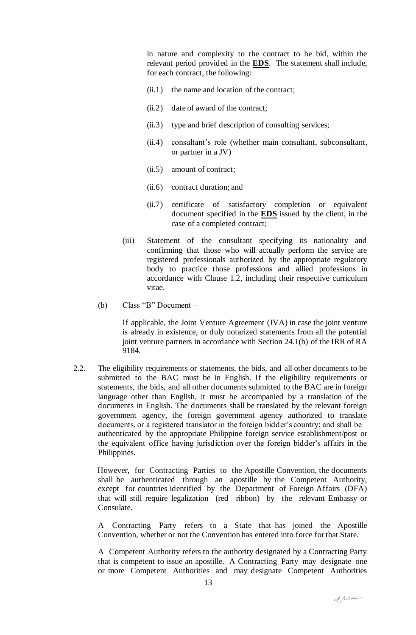in nature and complexity to the contract to be bid, within the relevant period provided in the **EDS**. The statement shall include, for each contract, the following:

- (ii.1) the name and location of the contract;
- (ii.2) date of award of the contract;
- (ii.3) type and brief description of consulting services;
- (ii.4) consultant's role (whether main consultant, subconsultant, or partner in a JV)
- (ii.5) amount of contract;
- (ii.6) contract duration; and
- (ii.7) certificate of satisfactory completion or equivalent document specified in the **EDS** issued by the client, in the case of a completed contract;
- (iii) Statement of the consultant specifying its nationality and confirming that those who will actually perform the service are registered professionals authorized by the appropriate regulatory body to practice those professions and allied professions in accordance with Clause 1.2, including their respective curriculum vitae.
- (b) Class "B" Document –

If applicable, the Joint Venture Agreement (JVA) in case the joint venture is already in existence, or duly notarized statements from all the potential joint venture partners in accordance with Section 24.1(b) of the IRR of RA 9184.

2.2. The eligibility requirements or statements, the bids, and all other documents to be submitted to the BAC must be in English. If the eligibility requirements or statements, the bids, and all other documents submitted to the BAC are in foreign language other than English, it must be accompanied by a translation of the documents in English. The documents shall be translated by the relevant foreign government agency, the foreign government agency authorized to translate documents, or a registered translator in the foreign bidder's country; and shall be authenticated by the appropriate Philippine foreign service establishment/post or the equivalent office having jurisdiction over the foreign bidder's affairs in the Philippines.

However, for Contracting Parties to the Apostille Convention, the documents shall be authenticated through an apostille by the Competent Authority, except for countries identified by the Department of Foreign Affairs (DFA) that will still require legalization (red ribbon) by the relevant Embassy or Consulate.

A Contracting Party refers to a State that has joined the Apostille Convention, whether or not the Convention has entered into force for that State.

A Competent Authority refers to the authority designated by a Contracting Party that is competent to issue an apostille. A Contracting Party may designate one or more Competent Authorities and may designate Competent Authorities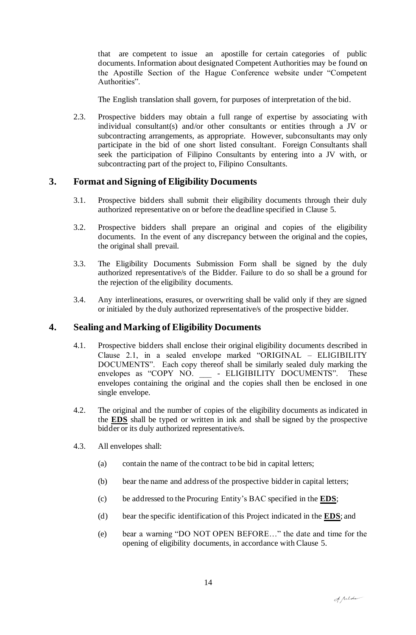that are competent to issue an apostille for certain categories of public documents. Information about designated Competent Authorities may be found on the Apostille Section of the Hague Conference website under "Competent Authorities".

The English translation shall govern, for purposes of interpretation of the bid.

2.3. Prospective bidders may obtain a full range of expertise by associating with individual consultant(s) and/or other consultants or entities through a JV or subcontracting arrangements, as appropriate. However, subconsultants may only participate in the bid of one short listed consultant. Foreign Consultants shall seek the participation of Filipino Consultants by entering into a JV with, or subcontracting part of the project to, Filipino Consultants.

### **3. Format and Signing of Eligibility Documents**

- 3.1. Prospective bidders shall submit their eligibility documents through their duly authorized representative on or before the deadline specified in Clause 5.
- 3.2. Prospective bidders shall prepare an original and copies of the eligibility documents. In the event of any discrepancy between the original and the copies, the original shall prevail.
- 3.3. The Eligibility Documents Submission Form shall be signed by the duly authorized representative/s of the Bidder. Failure to do so shall be a ground for the rejection of the eligibility documents.
- 3.4. Any interlineations, erasures, or overwriting shall be valid only if they are signed or initialed by the duly authorized representative/s of the prospective bidder.

#### **4. Sealing and Marking of Eligibility Documents**

- 4.1. Prospective bidders shall enclose their original eligibility documents described in Clause 2.1, in a sealed envelope marked "ORIGINAL – ELIGIBILITY DOCUMENTS". Each copy thereof shall be similarly sealed duly marking the envelopes as "COPY NO. \_\_\_ - ELIGIBILITY DOCUMENTS". These envelopes containing the original and the copies shall then be enclosed in one single envelope.
- 4.2. The original and the number of copies of the eligibility documents as indicated in the **EDS** shall be typed or written in ink and shall be signed by the prospective bidder or its duly authorized representative/s.
- 4.3. All envelopes shall:
	- (a) contain the name of the contract to be bid in capital letters;
	- (b) bear the name and address of the prospective bidder in capital letters;
	- (c) be addressed to the Procuring Entity's BAC specified in the **EDS**;
	- (d) bear the specific identification of this Project indicated in the **EDS**; and
	- (e) bear a warning "DO NOT OPEN BEFORE…" the date and time for the opening of eligibility documents, in accordance with Clause 5.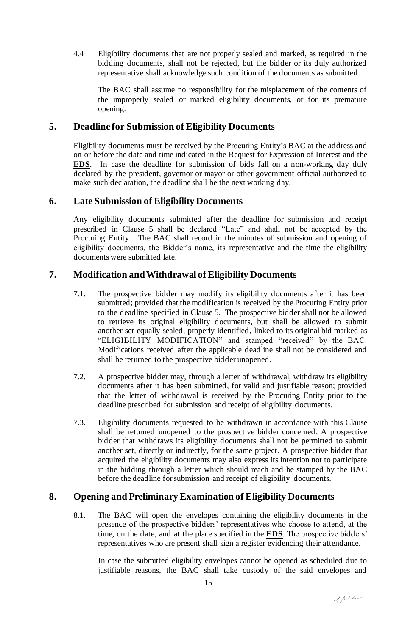4.4 Eligibility documents that are not properly sealed and marked, as required in the bidding documents, shall not be rejected, but the bidder or its duly authorized representative shall acknowledge such condition of the documents as submitted.

The BAC shall assume no responsibility for the misplacement of the contents of the improperly sealed or marked eligibility documents, or for its premature opening.

#### **5. Deadline for Submission of Eligibility Documents**

Eligibility documents must be received by the Procuring Entity's BAC at the address and on or before the date and time indicated in the Request for Expression of Interest and the **EDS**. In case the deadline for submission of bids fall on a non-working day duly declared by the president, governor or mayor or other government official authorized to make such declaration, the deadline shall be the next working day.

#### **6. Late Submission of Eligibility Documents**

Any eligibility documents submitted after the deadline for submission and receipt prescribed in Clause 5 shall be declared "Late" and shall not be accepted by the Procuring Entity. The BAC shall record in the minutes of submission and opening of eligibility documents, the Bidder's name, its representative and the time the eligibility documents were submitted late.

#### **7. Modification and Withdrawal of Eligibility Documents**

- 7.1. The prospective bidder may modify its eligibility documents after it has been submitted; provided that the modification is received by the Procuring Entity prior to the deadline specified in Clause 5. The prospective bidder shall not be allowed to retrieve its original eligibility documents, but shall be allowed to submit another set equally sealed, properly identified, linked to its original bid marked as "ELIGIBILITY MODIFICATION" and stamped "received" by the BAC. Modifications received after the applicable deadline shall not be considered and shall be returned to the prospective bidder unopened.
- 7.2. A prospective bidder may, through a letter of withdrawal, withdraw its eligibility documents after it has been submitted, for valid and justifiable reason; provided that the letter of withdrawal is received by the Procuring Entity prior to the deadline prescribed for submission and receipt of eligibility documents.
- 7.3. Eligibility documents requested to be withdrawn in accordance with this Clause shall be returned unopened to the prospective bidder concerned. A prospective bidder that withdraws its eligibility documents shall not be permitted to submit another set, directly or indirectly, for the same project. A prospective bidder that acquired the eligibility documents may also express its intention not to participate in the bidding through a letter which should reach and be stamped by the BAC before the deadline for submission and receipt of eligibility documents.

### **8. Opening and Preliminary Examination of Eligibility Documents**

8.1. The BAC will open the envelopes containing the eligibility documents in the presence of the prospective bidders' representatives who choose to attend, at the time, on the date, and at the place specified in the **EDS**. The prospective bidders' representatives who are present shall sign a register evidencing their attendance.

In case the submitted eligibility envelopes cannot be opened as scheduled due to justifiable reasons, the BAC shall take custody of the said envelopes and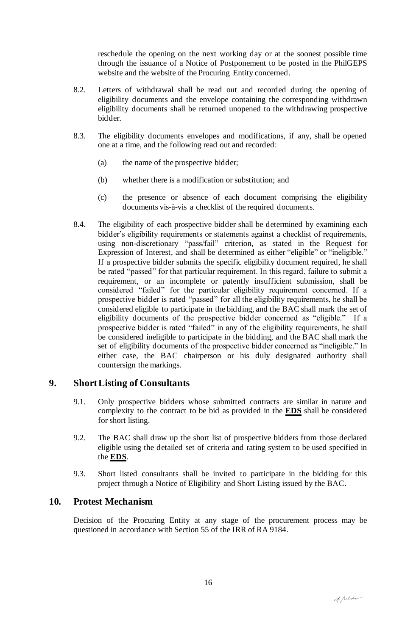reschedule the opening on the next working day or at the soonest possible time through the issuance of a Notice of Postponement to be posted in the PhilGEPS website and the website of the Procuring Entity concerned.

- 8.2. Letters of withdrawal shall be read out and recorded during the opening of eligibility documents and the envelope containing the corresponding withdrawn eligibility documents shall be returned unopened to the withdrawing prospective bidder.
- 8.3. The eligibility documents envelopes and modifications, if any, shall be opened one at a time, and the following read out and recorded:
	- (a) the name of the prospective bidder;
	- (b) whether there is a modification or substitution; and
	- (c) the presence or absence of each document comprising the eligibility documents vis-à-vis a checklist of the required documents.
- 8.4. The eligibility of each prospective bidder shall be determined by examining each bidder's eligibility requirements or statements against a checklist of requirements, using non-discretionary "pass/fail" criterion, as stated in the Request for Expression of Interest, and shall be determined as either "eligible" or "ineligible." If a prospective bidder submits the specific eligibility document required, he shall be rated "passed" for that particular requirement. In this regard, failure to submit a requirement, or an incomplete or patently insufficient submission, shall be considered "failed" for the particular eligibility requirement concerned. If a prospective bidder is rated "passed" for all the eligibility requirements, he shall be considered eligible to participate in the bidding, and the BAC shall mark the set of eligibility documents of the prospective bidder concerned as "eligible." If a prospective bidder is rated "failed" in any of the eligibility requirements, he shall be considered ineligible to participate in the bidding, and the BAC shall mark the set of eligibility documents of the prospective bidder concerned as "ineligible." In either case, the BAC chairperson or his duly designated authority shall countersign the markings.

#### **9. Short Listing of Consultants**

- 9.1. Only prospective bidders whose submitted contracts are similar in nature and complexity to the contract to be bid as provided in the **EDS** shall be considered for short listing.
- 9.2. The BAC shall draw up the short list of prospective bidders from those declared eligible using the detailed set of criteria and rating system to be used specified in the **EDS**.
- 9.3. Short listed consultants shall be invited to participate in the bidding for this project through a Notice of Eligibility and Short Listing issued by the BAC.

#### **10. Protest Mechanism**

Decision of the Procuring Entity at any stage of the procurement process may be questioned in accordance with Section 55 of the IRR of RA 9184.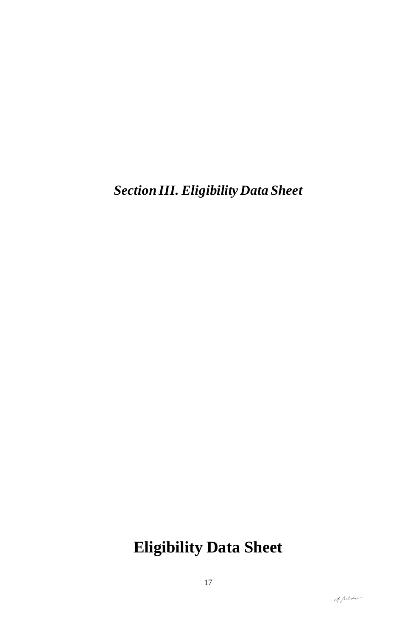*Section III. Eligibility Data Sheet*

# **Eligibility Data Sheet**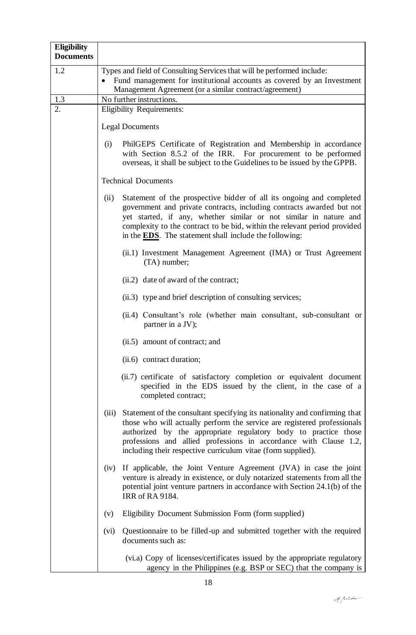| <b>Eligibility</b><br><b>Documents</b> |                                                                                                                                                                                                                                                                                                                                                                           |
|----------------------------------------|---------------------------------------------------------------------------------------------------------------------------------------------------------------------------------------------------------------------------------------------------------------------------------------------------------------------------------------------------------------------------|
| 1.2                                    | Types and field of Consulting Services that will be performed include:<br>Fund management for institutional accounts as covered by an Investment<br>Management Agreement (or a similar contract/agreement)                                                                                                                                                                |
| 1.3                                    | No further instructions.                                                                                                                                                                                                                                                                                                                                                  |
| 2.                                     | <b>Eligibility Requirements:</b>                                                                                                                                                                                                                                                                                                                                          |
|                                        | <b>Legal Documents</b>                                                                                                                                                                                                                                                                                                                                                    |
|                                        | PhilGEPS Certificate of Registration and Membership in accordance<br>(i)<br>with Section 8.5.2 of the IRR. For procurement to be performed<br>overseas, it shall be subject to the Guidelines to be issued by the GPPB.                                                                                                                                                   |
|                                        | <b>Technical Documents</b>                                                                                                                                                                                                                                                                                                                                                |
|                                        | Statement of the prospective bidder of all its ongoing and completed<br>(ii)<br>government and private contracts, including contracts awarded but not<br>yet started, if any, whether similar or not similar in nature and<br>complexity to the contract to be bid, within the relevant period provided<br>in the <b>EDS</b> . The statement shall include the following: |
|                                        | (ii.1) Investment Management Agreement (IMA) or Trust Agreement<br>(TA) number;                                                                                                                                                                                                                                                                                           |
|                                        | (ii.2) date of award of the contract;                                                                                                                                                                                                                                                                                                                                     |
|                                        | (ii.3) type and brief description of consulting services;                                                                                                                                                                                                                                                                                                                 |
|                                        | (ii.4) Consultant's role (whether main consultant, sub-consultant or<br>partner in a JV);                                                                                                                                                                                                                                                                                 |
|                                        | (ii.5) amount of contract; and                                                                                                                                                                                                                                                                                                                                            |
|                                        | (ii.6) contract duration;                                                                                                                                                                                                                                                                                                                                                 |
|                                        | (ii.7) certificate of satisfactory completion or equivalent document<br>specified in the EDS issued by the client, in the case of a<br>completed contract;                                                                                                                                                                                                                |
|                                        | (iii) Statement of the consultant specifying its nationality and confirming that<br>those who will actually perform the service are registered professionals<br>authorized by the appropriate regulatory body to practice those<br>professions and allied professions in accordance with Clause 1.2,<br>including their respective curriculum vitae (form supplied).      |
|                                        | If applicable, the Joint Venture Agreement (JVA) in case the joint<br>(iv)<br>venture is already in existence, or duly notarized statements from all the<br>potential joint venture partners in accordance with Section 24.1(b) of the<br><b>IRR</b> of RA 9184.                                                                                                          |
|                                        | Eligibility Document Submission Form (form supplied)<br>(v)                                                                                                                                                                                                                                                                                                               |
|                                        | Questionnaire to be filled-up and submitted together with the required<br>(vi)<br>documents such as:                                                                                                                                                                                                                                                                      |
|                                        | (vi.a) Copy of licenses/certificates issued by the appropriate regulatory<br>agency in the Philippines (e.g. BSP or SEC) that the company is                                                                                                                                                                                                                              |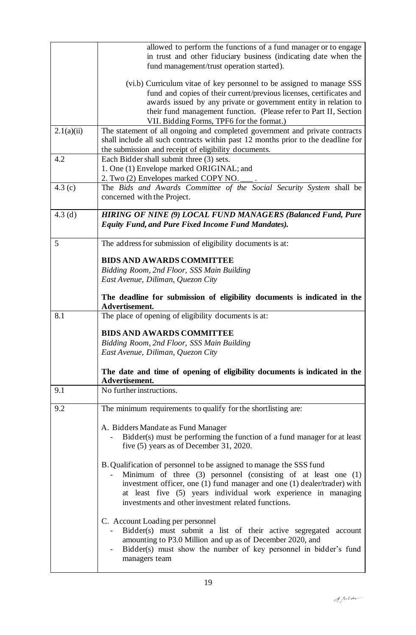|            | allowed to perform the functions of a fund manager or to engage<br>in trust and other fiduciary business (indicating date when the<br>fund management/trust operation started).                                                                                                                                                                  |
|------------|--------------------------------------------------------------------------------------------------------------------------------------------------------------------------------------------------------------------------------------------------------------------------------------------------------------------------------------------------|
|            | (vi.b) Curriculum vitae of key personnel to be assigned to manage SSS<br>fund and copies of their current/previous licenses, certificates and<br>awards issued by any private or government entity in relation to<br>their fund management function. (Please refer to Part II, Section<br>VII. Bidding Forms, TPF6 for the format.)              |
| 2.1(a)(ii) | The statement of all ongoing and completed government and private contracts<br>shall include all such contracts within past 12 months prior to the deadline for<br>the submission and receipt of eligibility documents.                                                                                                                          |
| 4.2        | Each Bidder shall submit three (3) sets.<br>1. One (1) Envelope marked ORIGINAL; and<br>2. Two (2) Envelopes marked COPY NO.                                                                                                                                                                                                                     |
| 4.3 $(c)$  | The Bids and Awards Committee of the Social Security System shall be<br>concerned with the Project.                                                                                                                                                                                                                                              |
| 4.3 $(d)$  | <b>HIRING OF NINE (9) LOCAL FUND MANAGERS (Balanced Fund, Pure</b><br><b>Equity Fund, and Pure Fixed Income Fund Mandates).</b>                                                                                                                                                                                                                  |
| 5          | The address for submission of eligibility documents is at:                                                                                                                                                                                                                                                                                       |
|            | <b>BIDS AND AWARDS COMMITTEE</b>                                                                                                                                                                                                                                                                                                                 |
|            | Bidding Room, 2nd Floor, SSS Main Building<br>East Avenue, Diliman, Quezon City                                                                                                                                                                                                                                                                  |
|            | The deadline for submission of eligibility documents is indicated in the<br>Advertisement.                                                                                                                                                                                                                                                       |
| 8.1        | The place of opening of eligibility documents is at:                                                                                                                                                                                                                                                                                             |
|            | <b>BIDS AND AWARDS COMMITTEE</b><br>Bidding Room, 2nd Floor, SSS Main Building<br>East Avenue, Diliman, Quezon City                                                                                                                                                                                                                              |
|            | The date and time of opening of eligibility documents is indicated in the<br>Advertisement.                                                                                                                                                                                                                                                      |
| 9.1        | No further instructions.                                                                                                                                                                                                                                                                                                                         |
| 9.2        | The minimum requirements to qualify for the shortlisting are:                                                                                                                                                                                                                                                                                    |
|            | A. Bidders Mandate as Fund Manager<br>Bidder(s) must be performing the function of a fund manager for at least<br>five (5) years as of December 31, 2020.                                                                                                                                                                                        |
|            | B. Qualification of personnel to be assigned to manage the SSS fund<br>Minimum of three $(3)$ personnel (consisting of at least one $(1)$ )<br>investment officer, one (1) fund manager and one (1) dealer/trader) with<br>at least five (5) years individual work experience in managing<br>investments and other investment related functions. |
|            | C. Account Loading per personnel<br>Bidder(s) must submit a list of their active segregated account<br>amounting to P3.0 Million and up as of December 2020, and<br>Bidder(s) must show the number of key personnel in bidder's fund<br>managers team                                                                                            |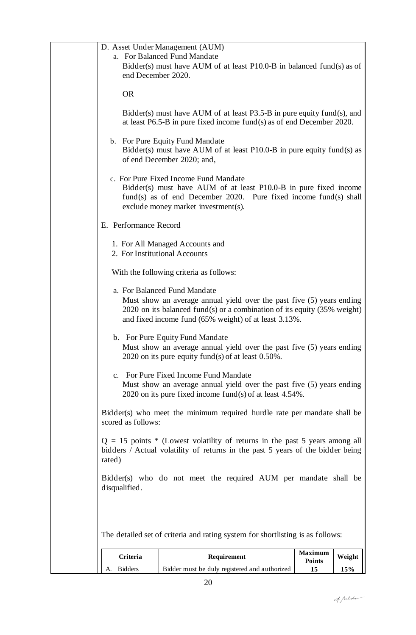| A. Bidders                                                                                                                                                       | Bidder must be duly registered and authorized                                                                                                                                                                                                         | 15                              | 15%    |  |  |
|------------------------------------------------------------------------------------------------------------------------------------------------------------------|-------------------------------------------------------------------------------------------------------------------------------------------------------------------------------------------------------------------------------------------------------|---------------------------------|--------|--|--|
| Criteria                                                                                                                                                         | Requirement                                                                                                                                                                                                                                           | <b>Maximum</b><br><b>Points</b> | Weight |  |  |
|                                                                                                                                                                  | The detailed set of criteria and rating system for shortlisting is as follows:                                                                                                                                                                        |                                 |        |  |  |
| disqualified.                                                                                                                                                    |                                                                                                                                                                                                                                                       |                                 |        |  |  |
|                                                                                                                                                                  | Bidder(s) who do not meet the required AUM per mandate shall be                                                                                                                                                                                       |                                 |        |  |  |
| rated)                                                                                                                                                           | $Q = 15$ points * (Lowest volatility of returns in the past 5 years among all<br>bidders / Actual volatility of returns in the past 5 years of the bidder being                                                                                       |                                 |        |  |  |
| scored as follows:                                                                                                                                               | Bidder(s) who meet the minimum required hurdle rate per mandate shall be                                                                                                                                                                              |                                 |        |  |  |
|                                                                                                                                                                  | c. For Pure Fixed Income Fund Mandate<br>Must show an average annual yield over the past five (5) years ending<br>2020 on its pure fixed income fund(s) of at least $4.54\%$ .                                                                        |                                 |        |  |  |
|                                                                                                                                                                  | b. For Pure Equity Fund Mandate<br>Must show an average annual yield over the past five (5) years ending<br>2020 on its pure equity fund(s) of at least $0.50\%$ .                                                                                    |                                 |        |  |  |
|                                                                                                                                                                  | a. For Balanced Fund Mandate<br>Must show an average annual yield over the past five (5) years ending<br>2020 on its balanced fund(s) or a combination of its equity $(35\% \text{ weight})$<br>and fixed income fund (65% weight) of at least 3.13%. |                                 |        |  |  |
|                                                                                                                                                                  | With the following criteria as follows:                                                                                                                                                                                                               |                                 |        |  |  |
| 2. For Institutional Accounts                                                                                                                                    | 1. For All Managed Accounts and                                                                                                                                                                                                                       |                                 |        |  |  |
| E. Performance Record                                                                                                                                            |                                                                                                                                                                                                                                                       |                                 |        |  |  |
|                                                                                                                                                                  | c. For Pure Fixed Income Fund Mandate<br>Bidder(s) must have AUM of at least P10.0-B in pure fixed income<br>fund(s) as of end December 2020. Pure fixed income fund(s) shall<br>exclude money market investment(s).                                  |                                 |        |  |  |
|                                                                                                                                                                  | b. For Pure Equity Fund Mandate<br>Bidder(s) must have AUM of at least $P10.0-B$ in pure equity fund(s) as<br>of end December 2020; and,                                                                                                              |                                 |        |  |  |
|                                                                                                                                                                  | Bidder(s) must have AUM of at least P3.5-B in pure equity fund(s), and<br>at least $P6.5-B$ in pure fixed income fund(s) as of end December 2020.                                                                                                     |                                 |        |  |  |
| <b>OR</b>                                                                                                                                                        |                                                                                                                                                                                                                                                       |                                 |        |  |  |
| D. Asset Under Management (AUM)<br>a. For Balanced Fund Mandate<br>Bidder(s) must have AUM of at least $P10.0-B$ in balanced fund(s) as of<br>end December 2020. |                                                                                                                                                                                                                                                       |                                 |        |  |  |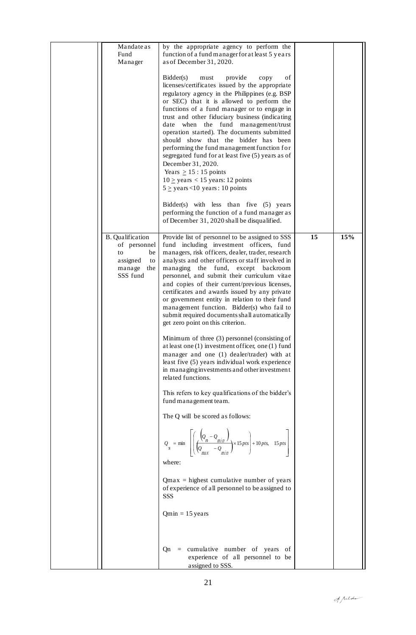| Mandate as<br>Fund<br>Manager                                                                      | by the appropriate agency to perform the<br>function of a fund manager for at least 5 years<br>as of December 31, 2020.                                                                                                                                                                                                                                                                                                                                                                                                                                                                                                                                                                                                                                                                                                                                                                                                                                                                                                                                                                                                                                                                                                                                                                                                              |    |     |
|----------------------------------------------------------------------------------------------------|--------------------------------------------------------------------------------------------------------------------------------------------------------------------------------------------------------------------------------------------------------------------------------------------------------------------------------------------------------------------------------------------------------------------------------------------------------------------------------------------------------------------------------------------------------------------------------------------------------------------------------------------------------------------------------------------------------------------------------------------------------------------------------------------------------------------------------------------------------------------------------------------------------------------------------------------------------------------------------------------------------------------------------------------------------------------------------------------------------------------------------------------------------------------------------------------------------------------------------------------------------------------------------------------------------------------------------------|----|-----|
|                                                                                                    | Bidder(s)<br>provide<br>must<br>οf<br>copy<br>licenses/certificates issued by the appropriate<br>regulatory agency in the Philippines (e.g. BSP<br>or SEC) that it is allowed to perform the<br>functions of a fund manager or to engage in<br>trust and other fiduciary business (indicating<br>date when the fund management/trust<br>operation started). The documents submitted<br>should show that the bidder has been<br>performing the fund management function for<br>segregated fund for at least five (5) years as of<br>December 31, 2020.<br>Years $\geq$ 15 : 15 points<br>$10 \ge$ years < 15 years: 12 points<br>$5 \geq$ years <10 years : 10 points<br>Bidder(s) with less than five (5) years<br>performing the function of a fund manager as<br>of December 31, 2020 shall be disqualified.                                                                                                                                                                                                                                                                                                                                                                                                                                                                                                                       |    |     |
| <b>B.</b> Qualification<br>of personnel<br>be<br>to<br>assigned<br>to<br>manage<br>the<br>SSS fund | Provide list of personnel to be assigned to SSS<br>fund including investment officers, fund<br>managers, risk officers, dealer, trader, research<br>analysts and other officers or staff involved in<br>managing<br>the<br>fund,<br>except<br>backroom<br>personnel, and submit their curriculum vitae<br>and copies of their current/previous licenses,<br>certificates and awards issued by any private<br>or government entity in relation to their fund<br>management function. Bidder(s) who fail to<br>submit required documents shall automatically<br>get zero point on this criterion.<br>Minimum of three (3) personnel (consisting of<br>at least one $(1)$ investment officer, one $(1)$ fund<br>manager and one (1) dealer/trader) with at<br>least five (5) years individual work experience<br>in managing investments and other investment<br>related functions.<br>This refers to key qualifications of the bidder's<br>fund management team.<br>The Q will be scored as follows:<br>$Q_s$ = min $\left[\left(\frac{Q_n - Q_{min}}{Q_{max} - Q_{min}}\right) \times 15 \text{ pts}\right] + 10 \text{ pts}, 15 \text{ pts}\right]$<br>where:<br>$Qmax$ = highest cumulative number of years<br>of experience of all personnel to be assigned to<br>SSS<br>$Qmin = 15$ years<br>$Qn$ = cumulative number of years of | 15 | 15% |
|                                                                                                    | experience of all personnel to be<br>assigned to SSS.                                                                                                                                                                                                                                                                                                                                                                                                                                                                                                                                                                                                                                                                                                                                                                                                                                                                                                                                                                                                                                                                                                                                                                                                                                                                                |    |     |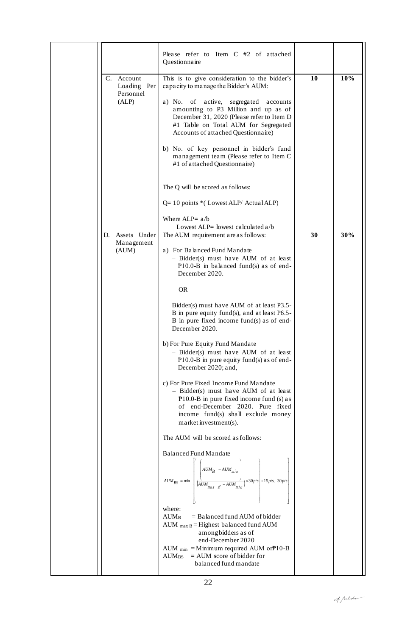|  |                                        | Please refer to Item C #2 of attached<br>Questionnaire                                                                                                                                                                         |    |     |
|--|----------------------------------------|--------------------------------------------------------------------------------------------------------------------------------------------------------------------------------------------------------------------------------|----|-----|
|  | C. Account<br>Loading Per<br>Personnel | This is to give consideration to the bidder's<br>capacity to manage the Bidder's AUM:                                                                                                                                          | 10 | 10% |
|  | (ALP)                                  | active,<br>a) No. of<br>segregated accounts<br>amounting to P3 Million and up as of<br>December 31, 2020 (Please refer to Item D<br>#1 Table on Total AUM for Segregated<br>Accounts of attached Questionnaire)                |    |     |
|  |                                        | b) No. of key personnel in bidder's fund<br>management team (Please refer to Item C<br>#1 of attached Questionnaire)                                                                                                           |    |     |
|  |                                        | The Q will be scored as follows:                                                                                                                                                                                               |    |     |
|  |                                        | $Q=10$ points *(Lowest ALP/Actual ALP)                                                                                                                                                                                         |    |     |
|  | D. Assets Under                        | Where $ALP = a/b$<br>Lowest ALP= lowest calculated a/b<br>The AUM requirement are as follows:                                                                                                                                  | 30 | 30% |
|  | Management<br>(AUM)                    | a) For Balanced Fund Mandate<br>- Bidder(s) must have AUM of at least<br>$P10.0-B$ in balanced fund(s) as of end-<br>December 2020.                                                                                            |    |     |
|  |                                        | <b>OR</b>                                                                                                                                                                                                                      |    |     |
|  |                                        | Bidder(s) must have AUM of at least P3.5-<br>B in pure equity fund(s), and at least P6.5-<br>B in pure fixed income fund(s) as of end-<br>December 2020.                                                                       |    |     |
|  |                                        | b) For Pure Equity Fund Mandate<br>- Bidder(s) must have AUM of at least<br>P10.0-B in pure equity fund(s) as of end-<br>December 2020; and,                                                                                   |    |     |
|  |                                        | c) For Pure Fixed Income Fund Mandate<br>- Bidder(s) must have AUM of at least<br>P10.0-B in pure fixed income fund (s) as<br>of end-December 2020. Pure fixed<br>income fund(s) shall exclude money<br>market investment(s).  |    |     |
|  |                                        | The AUM will be scored as follows:                                                                                                                                                                                             |    |     |
|  |                                        | Balanced Fund Mandate<br>$AUM_{BS} = \min \left[\left(\begin{array}{cc cc} \left(AUM_B & -AUM_{min}\right) & & \\ \hline \left(AUM_{max} & B & -AUM_{min}\right) & \end{array}\right) \times 30\,ps\right]+15\,pts, \ 30\,pts$ |    |     |
|  |                                        | where:<br>$=$ Balanced fund AUM of bidder<br>$AUM_B$<br>AUM $_{\text{max B}}$ = Highest balanced fund AUM<br>among bidders as of<br>end-December 2020                                                                          |    |     |
|  |                                        | AUM $_{\text{min}}$ = Minimum required AUM or $P10-B$<br>$=$ AUM score of bidder for<br>$AUM_{BS}$<br>balanced fund mandate                                                                                                    |    |     |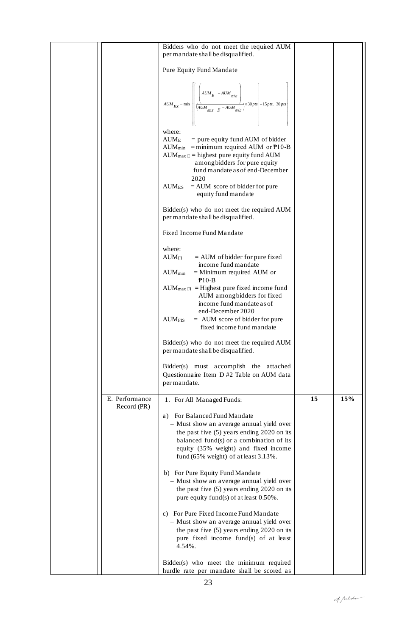|                               | Bidders who do not meet the required AUM<br>per mandate shall be disqualified.                                                                                                                                                                                 |    |     |
|-------------------------------|----------------------------------------------------------------------------------------------------------------------------------------------------------------------------------------------------------------------------------------------------------------|----|-----|
|                               | Pure Equity Fund Mandate                                                                                                                                                                                                                                       |    |     |
|                               | $AUM_{ES} = \min \left[\left \frac{\left(AUM_E - AUM_{min}}{\left(AUM_{max} - E - AUM_{min}\right)}\right) \times 30 \text{ ps} + 15 \text{ ps}, 30 \text{ ps}\right \right]$                                                                                  |    |     |
|                               | where:<br>$\text{AUM}_{\text{E}}$<br>$=$ pure equity fund AUM of bidder<br>AUM <sub>min</sub> = minimum required AUM or $P10-B$<br>$AUM_{max E}$ = highest pure equity fund AUM<br>among bidders for pure equity<br>fund mandate as of end-December<br>2020    |    |     |
|                               | $AUM_{ES}$ = AUM score of bidder for pure<br>equity fund mandate                                                                                                                                                                                               |    |     |
|                               | Bidder(s) who do not meet the required AUM<br>per mandate shall be disqualified.                                                                                                                                                                               |    |     |
|                               | Fixed Income Fund Mandate                                                                                                                                                                                                                                      |    |     |
|                               | where:<br>$=$ AUM of bidder for pure fixed<br>$\rm{AUM_{FI}}$<br>income fund mandate<br>$=$ Minimum required AUM or<br>$\mathrm{AUM}_{\mathrm{min}}$                                                                                                           |    |     |
|                               | $P10-B$<br>$AUM_{max \, FI}$ = Highest pure fixed income fund<br>AUM among bidders for fixed<br>income fund mandate as of                                                                                                                                      |    |     |
|                               | end-December 2020<br>$=$ AUM score of bidder for pure<br>$\text{AUM}_{\text{FIS}}$<br>fixed income fund mandate                                                                                                                                                |    |     |
|                               | Bidder(s) who do not meet the required AUM<br>per mandate shall be disqualified.                                                                                                                                                                               |    |     |
|                               | Bidder(s) must accomplish the attached<br>Questionnaire Item D #2 Table on AUM data<br>per mandate.                                                                                                                                                            |    |     |
| E. Performance<br>Record (PR) | 1. For All Managed Funds:                                                                                                                                                                                                                                      | 15 | 15% |
|                               | For Balanced Fund Mandate<br>a)<br>- Must show an average annual yield over<br>the past five $(5)$ years ending 2020 on its<br>balanced fund(s) or a combination of its<br>equity (35% weight) and fixed income<br>fund $(65\%$ weight) of at least $3.13\%$ . |    |     |
|                               | b) For Pure Equity Fund Mandate<br>- Must show an average annual yield over<br>the past five (5) years ending 2020 on its<br>pure equity fund(s) of at least 0.50%.                                                                                            |    |     |
|                               | c) For Pure Fixed Income Fund Mandate<br>- Must show an average annual yield over<br>the past five (5) years ending 2020 on its<br>pure fixed income fund(s) of at least<br>4.54%.                                                                             |    |     |
|                               | Bidder(s) who meet the minimum required<br>hurdle rate per mandate shall be scored as                                                                                                                                                                          |    |     |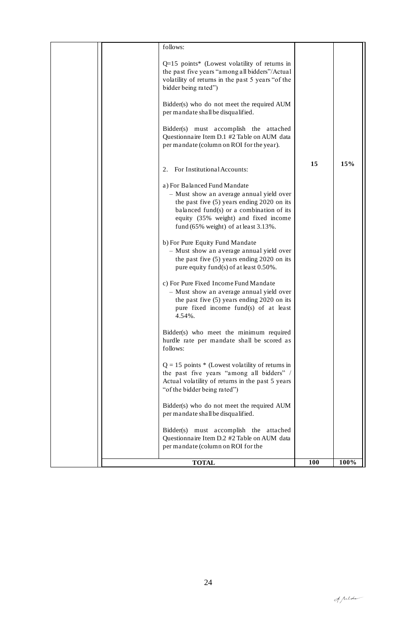|  | <b>TOTAL</b>                                                                                                                                                                                                                                                | <b>100</b> | 100% |
|--|-------------------------------------------------------------------------------------------------------------------------------------------------------------------------------------------------------------------------------------------------------------|------------|------|
|  | Bidder(s) must accomplish the attached<br>Questionnaire Item D.2 #2 Table on AUM data<br>per mandate (column on ROI for the                                                                                                                                 |            |      |
|  | Bidder(s) who do not meet the required AUM<br>per mandate shall be disqualified.                                                                                                                                                                            |            |      |
|  | $Q = 15$ points * (Lowest volatility of returns in<br>the past five years "among all bidders" /<br>Actual volatility of returns in the past 5 years<br>"of the bidder being rated")                                                                         |            |      |
|  | Bidder(s) who meet the minimum required<br>hurdle rate per mandate shall be scored as<br>follows:                                                                                                                                                           |            |      |
|  | c) For Pure Fixed Income Fund Mandate<br>- Must show an average annual yield over<br>the past five $(5)$ years ending 2020 on its<br>pure fixed income fund(s) of at least<br>$4.54\%$ .                                                                    |            |      |
|  | b) For Pure Equity Fund Mandate<br>- Must show an average annual yield over<br>the past five $(5)$ years ending 2020 on its<br>pure equity fund(s) of at least 0.50%.                                                                                       |            |      |
|  | a) For Balanced Fund Mandate<br>- Must show an average annual yield over<br>the past five $(5)$ years ending 2020 on its<br>balanced fund(s) or a combination of its<br>equity (35% weight) and fixed income<br>fund $(65\%$ weight) of at least $3.13\%$ . |            |      |
|  | For Institutional Accounts:<br>2.                                                                                                                                                                                                                           | 15         | 15%  |
|  | Bidder(s) must accomplish the attached<br>Questionnaire Item D.1 #2 Table on AUM data<br>per mandate (column on ROI for the year).                                                                                                                          |            |      |
|  | Bidder(s) who do not meet the required AUM<br>per mandate shall be disqualified.                                                                                                                                                                            |            |      |
|  | $Q=15$ points* (Lowest volatility of returns in<br>the past five years "among all bidders"/Actual<br>volatility of returns in the past 5 years "of the<br>bidder being rated")                                                                              |            |      |
|  | follows:                                                                                                                                                                                                                                                    |            |      |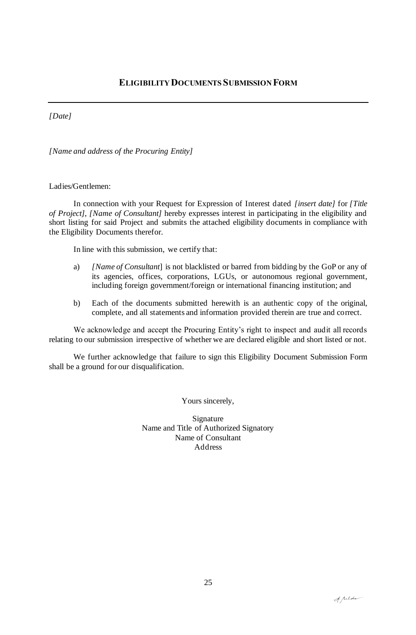*[Date]*

*[Name and address of the Procuring Entity]*

#### Ladies/Gentlemen:

In connection with your Request for Expression of Interest dated *[insert date]* for *[Title of Project]*, *[Name of Consultant]* hereby expresses interest in participating in the eligibility and short listing for said Project and submits the attached eligibility documents in compliance with the Eligibility Documents therefor.

In line with this submission, we certify that:

- a) *[Name of Consultant*] is not blacklisted or barred from bidding by the GoP or any of its agencies, offices, corporations, LGUs, or autonomous regional government, including foreign government/foreign or international financing institution; and
- b) Each of the documents submitted herewith is an authentic copy of the original, complete, and all statements and information provided therein are true and correct.

We acknowledge and accept the Procuring Entity's right to inspect and audit all records relating to our submission irrespective of whether we are declared eligible and short listed or not.

We further acknowledge that failure to sign this Eligibility Document Submission Form shall be a ground for our disqualification.

Yours sincerely,

Signature Name and Title of Authorized Signatory Name of Consultant Address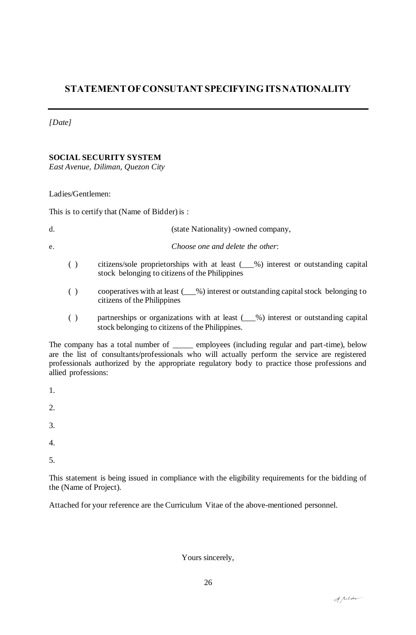## **STATEMENTOFCONSUTANT SPECIFYING ITSNATIONALITY**

#### *[Date]*

#### **SOCIAL SECURITY SYSTEM**

*East Avenue, Diliman, Quezon City*

#### Ladies/Gentlemen:

This is to certify that (Name of Bidder) is :

| (state Nationality) -owned company, |  |
|-------------------------------------|--|
|-------------------------------------|--|

e. *Choose one and delete the other*:

- ( ) citizens/sole proprietorships with at least (\_\_\_%) interest or outstanding capital stock belonging to citizens of the Philippines
- ( ) cooperatives with at least (\_\_\_%) interest or outstanding capital stock belonging to citizens of the Philippines
- ( ) partnerships or organizations with at least (\_\_\_%) interest or outstanding capital stock belonging to citizens of the Philippines.

The company has a total number of \_\_\_\_\_ employees (including regular and part-time), below are the list of consultants/professionals who will actually perform the service are registered professionals authorized by the appropriate regulatory body to practice those professions and allied professions:

- 1.
- 2.
- 3.
- 4.
- 5.

This statement is being issued in compliance with the eligibility requirements for the bidding of the (Name of Project).

Attached for your reference are the Curriculum Vitae of the above-mentioned personnel.

Yours sincerely,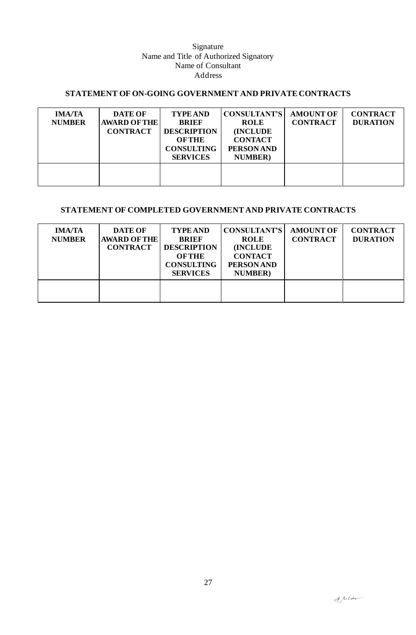#### Signature Name and Title of Authorized Signatory Name of Consultant Address

### **STATEMENT OF ON-GOING GOVERNMENT AND PRIVATE CONTRACTS**

| <b>IMA/TA</b><br><b>NUMBER</b> | <b>DATE OF</b><br><b>AWARD OF THE</b><br><b>CONTRACT</b> | <b>TYPE AND</b><br><b>BRIEF</b><br><b>DESCRIPTION</b><br><b>OFTHE</b><br><b>CONSULTING</b><br><b>SERVICES</b> | <b>CONSULTANT'S</b><br><b>ROLE</b><br><b>(INCLUDE)</b><br><b>CONTACT</b><br><b>PERSON AND</b><br><b>NUMBER</b> ) | <b>AMOUNT OF</b><br><b>CONTRACT</b> | <b>CONTRACT</b><br><b>DURATION</b> |
|--------------------------------|----------------------------------------------------------|---------------------------------------------------------------------------------------------------------------|------------------------------------------------------------------------------------------------------------------|-------------------------------------|------------------------------------|
|                                |                                                          |                                                                                                               |                                                                                                                  |                                     |                                    |

#### **STATEMENT OF COMPLETED GOVERNMENT AND PRIVATE CONTRACTS**

| <b>IMA/TA</b><br><b>NUMBER</b> | <b>DATE OF</b><br><b>AWARD OF THE</b><br><b>CONTRACT</b> | <b>TYPE AND</b><br><b>BRIEF</b><br><b>DESCRIPTION</b><br><b>OFTHE</b><br><b>CONSULTING</b><br><b>SERVICES</b> | <b>CONSULTANT'S</b><br><b>ROLE</b><br><b>(INCLUDE)</b><br><b>CONTACT</b><br><b>PERSON AND</b><br><b>NUMBER</b> ) | <b>AMOUNT OF</b><br><b>CONTRACT</b> | <b>CONTRACT</b><br><b>DURATION</b> |
|--------------------------------|----------------------------------------------------------|---------------------------------------------------------------------------------------------------------------|------------------------------------------------------------------------------------------------------------------|-------------------------------------|------------------------------------|
|                                |                                                          |                                                                                                               |                                                                                                                  |                                     |                                    |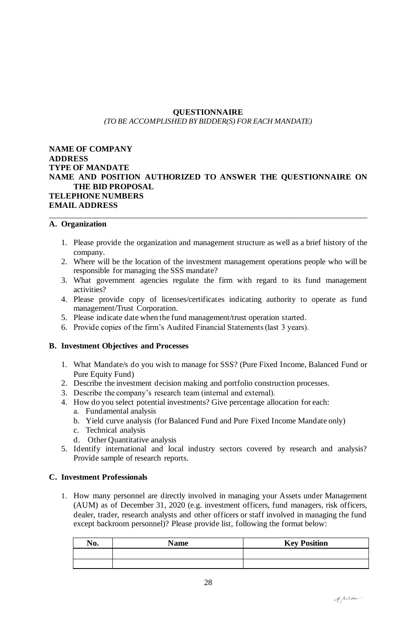#### **QUESTIONNAIRE** *(TO BE ACCOMPLISHED BY BIDDER(S) FOR EACH MANDATE)*

#### **NAME OF COMPANY ADDRESS TYPE OF MANDATE NAME AND POSITION AUTHORIZED TO ANSWER THE QUESTIONNAIRE ON THE BID PROPOSAL TELEPHONE NUMBERS EMAIL ADDRESS**

\_\_\_\_\_\_\_\_\_\_\_\_\_\_\_\_\_\_\_\_\_\_\_\_\_\_\_\_\_\_\_\_\_\_\_\_\_\_\_\_\_\_\_\_\_\_\_\_\_\_\_\_\_\_\_\_\_\_\_\_\_\_\_\_\_\_\_\_\_\_\_\_\_\_\_\_\_\_

#### **A. Organization**

- 1. Please provide the organization and management structure as well as a brief history of the company.
- 2. Where will be the location of the investment management operations people who will be responsible for managing the SSS mandate?
- 3. What government agencies regulate the firm with regard to its fund management activities?
- 4. Please provide copy of licenses/certificates indicating authority to operate as fund management/Trust Corporation.
- 5. Please indicate date when the fund management/trust operation started.
- 6. Provide copies of the firm's Audited Financial Statements (last 3 years).

#### **B. Investment Objectives and Processes**

- 1. What Mandate/s do you wish to manage for SSS? (Pure Fixed Income, Balanced Fund or Pure Equity Fund)
- 2. Describe the investment decision making and portfolio construction processes.
- 3. Describe the company's research team (internal and external).
- 4. How do you select potential investments? Give percentage allocation for each:
	- a. Fundamental analysis
	- b. Yield curve analysis (for Balanced Fund and Pure Fixed Income Mandate only)
	- c. Technical analysis
	- d. Other Quantitative analysis
- 5. Identify international and local industry sectors covered by research and analysis? Provide sample of research reports.

#### **C. Investment Professionals**

1. How many personnel are directly involved in managing your Assets under Management (AUM) as of December 31, 2020 (e.g. investment officers, fund managers, risk officers, dealer, trader, research analysts and other officers or staff involved in managing the fund except backroom personnel)? Please provide list, following the format below:

| No. | <b>Name</b> | <b>Key Position</b> |
|-----|-------------|---------------------|
|     |             |                     |
|     |             |                     |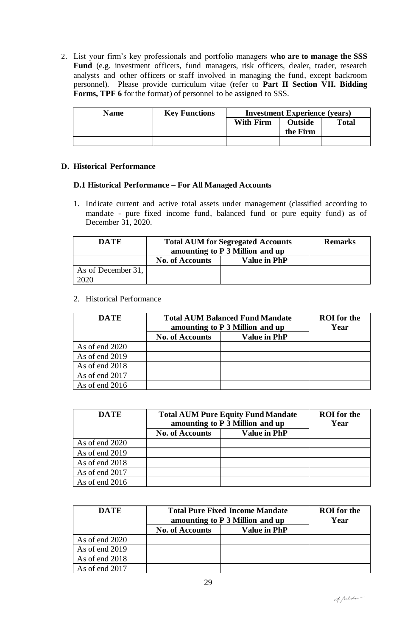2. List your firm's key professionals and portfolio managers **who are to manage the SSS Fund** (e.g. investment officers, fund managers, risk officers, dealer, trader, research analysts and other officers or staff involved in managing the fund, except backroom personnel). Please provide curriculum vitae (refer to **Part II Section VII. Bidding Forms, TPF 6** for the format) of personnel to be assigned to SSS.

| <b>Name</b> | <b>Key Functions</b> | <b>Investment Experience (years)</b> |                            |              |
|-------------|----------------------|--------------------------------------|----------------------------|--------------|
|             |                      | <b>With Firm</b>                     | <b>Outside</b><br>the Firm | <b>Total</b> |
|             |                      |                                      |                            |              |

#### **D. Historical Performance**

#### **D.1 Historical Performance – For All Managed Accounts**

1. Indicate current and active total assets under management (classified according to mandate - pure fixed income fund, balanced fund or pure equity fund) as of December 31, 2020.

| DATE               | <b>Total AUM for Segregated Accounts</b><br>amounting to P 3 Million and up | <b>Remarks</b> |  |
|--------------------|-----------------------------------------------------------------------------|----------------|--|
|                    | <b>No. of Accounts</b>                                                      |                |  |
| As of December 31, |                                                                             |                |  |
| 2020               |                                                                             |                |  |

#### 2. Historical Performance

| <b>DATE</b>    | <b>Total AUM Balanced Fund Mandate</b><br>amounting to P 3 Million and up | <b>ROI</b> for the<br>Year |  |
|----------------|---------------------------------------------------------------------------|----------------------------|--|
|                | <b>No. of Accounts</b>                                                    | <b>Value in PhP</b>        |  |
| As of end 2020 |                                                                           |                            |  |
| As of end 2019 |                                                                           |                            |  |
| As of end 2018 |                                                                           |                            |  |
| As of end 2017 |                                                                           |                            |  |
| As of end 2016 |                                                                           |                            |  |

| <b>DATE</b>    | <b>Total AUM Pure Equity Fund Mandate</b><br>amounting to P 3 Million and up | <b>ROI</b> for the<br>Year |  |
|----------------|------------------------------------------------------------------------------|----------------------------|--|
|                | <b>No. of Accounts</b>                                                       | <b>Value in PhP</b>        |  |
| As of end 2020 |                                                                              |                            |  |
| As of end 2019 |                                                                              |                            |  |
| As of end 2018 |                                                                              |                            |  |
| As of end 2017 |                                                                              |                            |  |
| As of end 2016 |                                                                              |                            |  |

| DATE             | <b>Total Pure Fixed Income Mandate</b><br>amounting to P 3 Million and up |                     | <b>ROI</b> for the<br>Year |
|------------------|---------------------------------------------------------------------------|---------------------|----------------------------|
|                  | <b>No. of Accounts</b>                                                    | <b>Value in PhP</b> |                            |
| As of end 2020   |                                                                           |                     |                            |
| As of end 2019   |                                                                           |                     |                            |
| As of end 2018   |                                                                           |                     |                            |
| As of end $2017$ |                                                                           |                     |                            |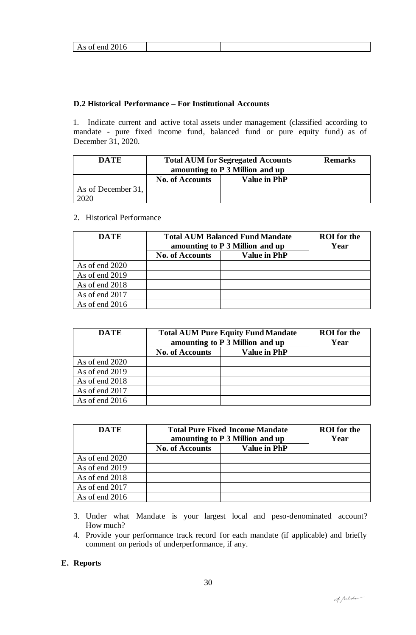| 1.001 <sub>L</sub><br>$\mathbf{r}$ | $110 \times 100$ |  |  |
|------------------------------------|------------------|--|--|
|                                    |                  |  |  |

#### **D.2 Historical Performance – For Institutional Accounts**

1. Indicate current and active total assets under management (classified according to mandate - pure fixed income fund, balanced fund or pure equity fund) as of December 31, 2020.

| DATE               | <b>Total AUM for Segregated Accounts</b><br>amounting to P 3 Million and up |                     | <b>Remarks</b> |
|--------------------|-----------------------------------------------------------------------------|---------------------|----------------|
|                    | <b>No. of Accounts</b>                                                      | <b>Value in PhP</b> |                |
| As of December 31, |                                                                             |                     |                |
|                    |                                                                             |                     |                |

#### 2. Historical Performance

| <b>DATE</b>    | <b>Total AUM Balanced Fund Mandate</b><br>amounting to P 3 Million and up |                     | <b>ROI</b> for the<br>Year |
|----------------|---------------------------------------------------------------------------|---------------------|----------------------------|
|                | <b>No. of Accounts</b>                                                    | <b>Value in PhP</b> |                            |
| As of end 2020 |                                                                           |                     |                            |
| As of end 2019 |                                                                           |                     |                            |
| As of end 2018 |                                                                           |                     |                            |
| As of end 2017 |                                                                           |                     |                            |
| As of end 2016 |                                                                           |                     |                            |

| <b>DATE</b>    | <b>Total AUM Pure Equity Fund Mandate</b><br>amounting to P 3 Million and up |                     | <b>ROI</b> for the<br>Year |
|----------------|------------------------------------------------------------------------------|---------------------|----------------------------|
|                | <b>No. of Accounts</b>                                                       | <b>Value in PhP</b> |                            |
| As of end 2020 |                                                                              |                     |                            |
| As of end 2019 |                                                                              |                     |                            |
| As of end 2018 |                                                                              |                     |                            |
| As of end 2017 |                                                                              |                     |                            |
| As of end 2016 |                                                                              |                     |                            |

| <b>DATE</b>    | <b>Total Pure Fixed Income Mandate</b><br>amounting to P 3 Million and up |                     | <b>ROI</b> for the<br>Year |
|----------------|---------------------------------------------------------------------------|---------------------|----------------------------|
|                | <b>No. of Accounts</b>                                                    | <b>Value in PhP</b> |                            |
| As of end 2020 |                                                                           |                     |                            |
| As of end 2019 |                                                                           |                     |                            |
| As of end 2018 |                                                                           |                     |                            |
| As of end 2017 |                                                                           |                     |                            |
| As of end 2016 |                                                                           |                     |                            |

- 3. Under what Mandate is your largest local and peso-denominated account? How much?
- 4. Provide your performance track record for each mandate (if applicable) and briefly comment on periods of underperformance, if any.

#### **E. Reports**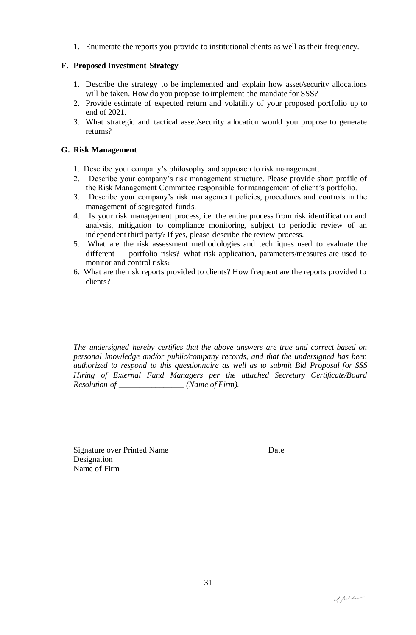1. Enumerate the reports you provide to institutional clients as well as their frequency.

#### **F. Proposed Investment Strategy**

- 1. Describe the strategy to be implemented and explain how asset/security allocations will be taken. How do you propose to implement the mandate for SSS?
- 2. Provide estimate of expected return and volatility of your proposed portfolio up to end of 2021.
- 3. What strategic and tactical asset/security allocation would you propose to generate returns?

#### **G. Risk Management**

- 1. Describe your company's philosophy and approach to risk management.
- 2. Describe your company's risk management structure. Please provide short profile of the Risk Management Committee responsible for management of client's portfolio.
- 3. Describe your company's risk management policies, procedures and controls in the management of segregated funds.
- 4. Is your risk management process, i.e. the entire process from risk identification and analysis, mitigation to compliance monitoring, subject to periodic review of an independent third party? If yes, please describe the review process.
- 5. What are the risk assessment methodologies and techniques used to evaluate the different portfolio risks? What risk application, parameters/measures are used to monitor and control risks?
- 6. What are the risk reports provided to clients? How frequent are the reports provided to clients?

*The undersigned hereby certifies that the above answers are true and correct based on personal knowledge and/or public/company records, and that the undersigned has been authorized to respond to this questionnaire as well as to submit Bid Proposal for SSS Hiring of External Fund Managers per the attached Secretary Certificate/Board Resolution of \_\_\_\_\_\_\_\_\_\_\_\_\_\_\_\_ (Name of Firm).*

Signature over Printed Name Date Designation Name of Firm

\_\_\_\_\_\_\_\_\_\_\_\_\_\_\_\_\_\_\_\_\_\_\_\_\_\_